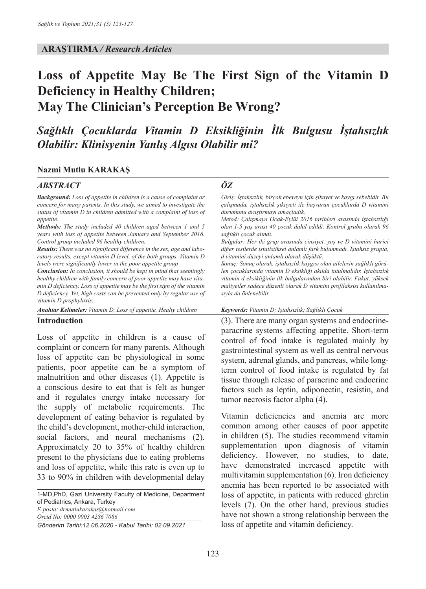#### **ARAŞTIRMA** */ Research Articles*

# **Loss of Appetite May Be The First Sign of the Vitamin D Deficiency in Healthy Children; May The Clinician's Perception Be Wrong?**

# *Sağlıklı Çocuklarda Vitamin D Eksikliğinin İlk Bulgusu İştahsızlık Olabilir: Klinisyenin Yanlış Algısı Olabilir mi?*

#### **Nazmi Mutlu KARAKAŞ**

#### *ABSTRACT ÖZ*

*Background: Loss of appetite in children is a cause of complaint or concern for many parents. In this study, we aimed to investigate the status of vitamin D in children admitted with a complaint of loss of appetite.* 

*Methods: The study included 40 children aged between 1 and 5 years with loss of appetite between January and September 2016. Control group included 96 healthy children.* 

*Results: There was no significant difference in the sex, age and laboratory results, except vitamin D level, of the both groups. Vitamin D levels were significantly lower in the poor appetite group*

*Conclusion: In conclusion, it should be kept in mind that seemingly healthy children with family concern of poor appetite may have vitamin D deficiency. Loss of appetite may be the first sign of the vitamin D deficiency. Yet, high costs can be prevented only by regular use of vitamin D prophylaxis.* 

*Anahtar Kelimeler: Vitamin D, Loss of appetite, Healty children Keywords: Vitamin D; İştahsızlık; Sağlıklı Çocuk* 

#### **Introduction**

Loss of appetite in children is a cause of complaint or concern for many parents. Although loss of appetite can be physiological in some patients, poor appetite can be a symptom of malnutrition and other diseases (1). Appetite is a conscious desire to eat that is felt as hunger and it regulates energy intake necessary for the supply of metabolic requirements. The development of eating behavior is regulated by the child's development, mother-child interaction, social factors, and neural mechanisms (2). Approximately 20 to 35% of healthy children present to the physicians due to eating problems and loss of appetite, while this rate is even up to 33 to 90% in children with developmental delay

1-MD,PhD, Gazi University Faculty of Medicine, Department of Pediatrics, Ankara, Turkey *E-posta: drmutlukarakas@hotmail.com Orcid No: 0000 0003 4286 7086*

*Gönderim Tarihi:12.06.2020 - Kabul Tarihi: 02.09.2021*

*Giriş: İştahsızlık, birçok ebeveyn için şikayet ve kaygı sebebidir. Bu çalışmada, iştahsızlık şikayeti ile başvuran çocuklarda D vitamini durumunu araştırmayı amaçladık.*

*Metod: Çalışmaya Ocak-Eylül 2016 tarihleri arasında iştahsızlığı olan 1-5 yaş arası 40 çocuk dahil edildi. Kontrol grubu olarak 96 sağlıklı çocuk alındı.* 

*Bulgular: Her iki grup arasında cinsiyet, yaş ve D vitamini harici diğer testlerde istatistiksel anlamlı fark bulunmadı. İştahsız grupta, d vitamini düzeyi anlamlı olarak düşüktü.* 

*Sonuç: Sonuç olarak, iştahsızlık kaygısı olan ailelerin sağlıklı görülen çocuklarında vitamin D eksikliği akılda tutulmalıdır. İştahsızlık vitamin d eksikliğinin ilk bulgularından biri olabilir. Fakat, yüksek maliyetler sadece düzenli olarak D vitamini profilaksisi kullanılmasıyla da önlenebilir .*

(3). There are many organ systems and endocrineparacrine systems affecting appetite. Short-term control of food intake is regulated mainly by gastrointestinal system as well as central nervous system, adrenal glands, and pancreas, while longterm control of food intake is regulated by fat tissue through release of paracrine and endocrine factors such as leptin, adiponectin, resistin, and tumor necrosis factor alpha (4).

Vitamin deficiencies and anemia are more common among other causes of poor appetite in children (5). The studies recommend vitamin supplementation upon diagnosis of vitamin deficiency. However, no studies, to date, have demonstrated increased appetite with multivitamin supplementation (6). Iron deficiency anemia has been reported to be associated with loss of appetite, in patients with reduced ghrelin levels (7). On the other hand, previous studies have not shown a strong relationship between the loss of appetite and vitamin deficiency.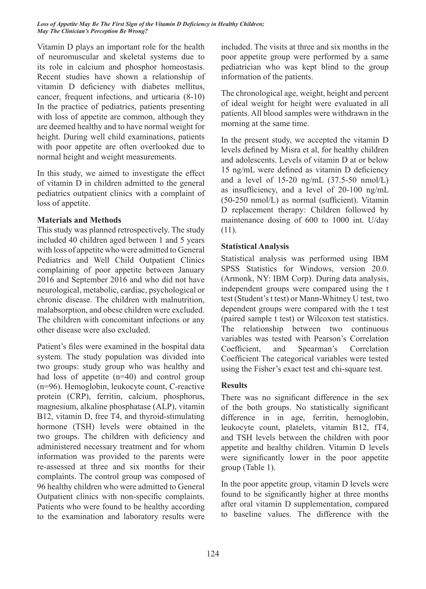Vitamin D plays an important role for the health of neuromuscular and skeletal systems due to its role in calcium and phosphor homeostasis. Recent studies have shown a relationship of vitamin D deficiency with diabetes mellitus, cancer, frequent infections, and urticaria (8-10) In the practice of pediatrics, patients presenting with loss of appetite are common, although they are deemed healthy and to have normal weight for height. During well child examinations, patients with poor appetite are often overlooked due to normal height and weight measurements.

In this study, we aimed to investigate the effect of vitamin D in children admitted to the general pediatrics outpatient clinics with a complaint of loss of appetite.

## **Materials and Methods**

This study was planned retrospectively. The study included 40 children aged between 1 and 5 years with loss of appetite who were admitted to General Pediatrics and Well Child Outpatient Clinics complaining of poor appetite between January 2016 and September 2016 and who did not have neurological, metabolic, cardiac, psychological or chronic disease. The children with malnutrition, malabsorption, and obese children were excluded. The children with concomitant infections or any other disease were also excluded.

Patient's files were examined in the hospital data system. The study population was divided into two groups: study group who was healthy and had loss of appetite (n=40) and control group (n=96). Hemoglobin, leukocyte count, C-reactive protein (CRP), ferritin, calcium, phosphorus, magnesium, alkaline phosphatase (ALP), vitamin B12, vitamin D, free T4, and thyroid-stimulating hormone (TSH) levels were obtained in the two groups. The children with deficiency and administered necessary treatment and for whom information was provided to the parents were re-assessed at three and six months for their complaints. The control group was composed of 96 healthy children who were admitted to General Outpatient clinics with non-specific complaints. Patients who were found to be healthy according to the examination and laboratory results were included. The visits at three and six months in the poor appetite group were performed by a same pediatrician who was kept blind to the group information of the patients.

The chronological age, weight, height and percent of ideal weight for height were evaluated in all patients. All blood samples were withdrawn in the morning at the same time.

In the present study, we accepted the vitamin D levels defined by Misra et al, for healthy children and adolescents. Levels of vitamin D at or below 15 ng/mL were defined as vitamin D deficiency and a level of  $15-20$  ng/mL  $(37.5-50 \text{ nmol/L})$ as insufficiency, and a level of 20-100 ng/mL (50-250 nmol/L) as normal (sufficient). Vitamin D replacement therapy: Children followed by maintenance dosing of 600 to 1000 int. U/day (11).

# **Statistical Analysis**

Statistical analysis was performed using IBM SPSS Statistics for Windows, version 20.0. (Armonk, NY: IBM Corp). During data analysis, independent groups were compared using the t test (Student's t test) or Mann-Whitney U test, two dependent groups were compared with the t test (paired sample t test) or Wilcoxon test statistics. The relationship between two continuous variables was tested with Pearson's Correlation Coefficient, and Spearman's Correlation Coefficient The categorical variables were tested using the Fisher's exact test and chi-square test.

# **Results**

There was no significant difference in the sex of the both groups. No statistically significant difference in in age, ferritin, hemoglobin, leukocyte count, platelets, vitamin B12, fT4, and TSH levels between the children with poor appetite and healthy children. Vitamin D levels were significantly lower in the poor appetite group (Table 1).

In the poor appetite group, vitamin D levels were found to be significantly higher at three months after oral vitamin D supplementation, compared to baseline values. The difference with the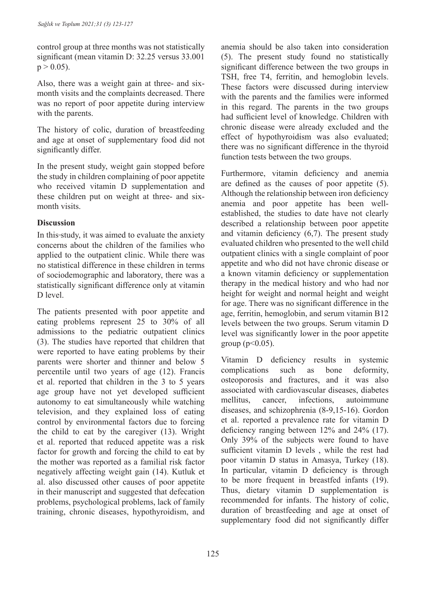control group at three months was not statistically significant (mean vitamin D: 32.25 versus 33.001  $p > 0.05$ ).

Also, there was a weight gain at three- and sixmonth visits and the complaints decreased. There was no report of poor appetite during interview with the parents.

The history of colic, duration of breastfeeding and age at onset of supplementary food did not significantly differ.

In the present study, weight gain stopped before the study in children complaining of poor appetite who received vitamin D supplementation and these children put on weight at three- and sixmonth visits.

## **Discussion**

In this study, it was aimed to evaluate the anxiety concerns about the children of the families who applied to the outpatient clinic. While there was no statistical difference in these children in terms of sociodemographic and laboratory, there was a statistically significant difference only at vitamin D level.

The patients presented with poor appetite and eating problems represent 25 to 30% of all admissions to the pediatric outpatient clinics (3). The studies have reported that children that were reported to have eating problems by their parents were shorter and thinner and below 5 percentile until two years of age (12). Francis et al. reported that children in the 3 to 5 years age group have not yet developed sufficient autonomy to eat simultaneously while watching television, and they explained loss of eating control by environmental factors due to forcing the child to eat by the caregiver (13). Wright et al. reported that reduced appetite was a risk factor for growth and forcing the child to eat by the mother was reported as a familial risk factor negatively affecting weight gain (14). Kutluk et al. also discussed other causes of poor appetite in their manuscript and suggested that defecation problems, psychological problems, lack of family training, chronic diseases, hypothyroidism, and

anemia should be also taken into consideration (5). The present study found no statistically significant difference between the two groups in TSH, free T4, ferritin, and hemoglobin levels. These factors were discussed during interview with the parents and the families were informed in this regard. The parents in the two groups had sufficient level of knowledge. Children with chronic disease were already excluded and the effect of hypothyroidism was also evaluated; there was no significant difference in the thyroid function tests between the two groups.

Furthermore, vitamin deficiency and anemia are defined as the causes of poor appetite (5). Although the relationship between iron deficiency anemia and poor appetite has been wellestablished, the studies to date have not clearly described a relationship between poor appetite and vitamin deficiency (6,7). The present study evaluated children who presented to the well child outpatient clinics with a single complaint of poor appetite and who did not have chronic disease or a known vitamin deficiency or supplementation therapy in the medical history and who had nor height for weight and normal height and weight for age. There was no significant difference in the age, ferritin, hemoglobin, and serum vitamin B12 levels between the two groups. Serum vitamin D level was significantly lower in the poor appetite group ( $p < 0.05$ ).

Vitamin D deficiency results in systemic complications such as bone deformity, osteoporosis and fractures, and it was also associated with cardiovascular diseases, diabetes mellitus, cancer, infections, autoimmune diseases, and schizophrenia (8-9,15-16). Gordon et al. reported a prevalence rate for vitamin D deficiency ranging between 12% and 24% (17). Only 39% of the subjects were found to have sufficient vitamin D levels , while the rest had poor vitamin D status in Amasya, Turkey (18). In particular, vitamin D deficiency is through to be more frequent in breastfed infants (19). Thus, dietary vitamin D supplementation is recommended for infants. The history of colic, duration of breastfeeding and age at onset of supplementary food did not significantly differ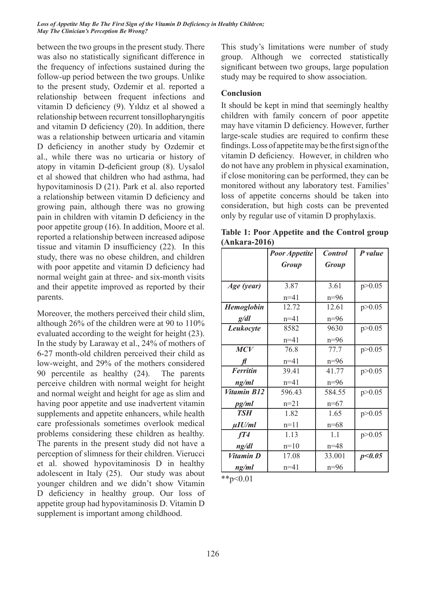between the two groups in the present study. There was also no statistically significant difference in the frequency of infections sustained during the follow-up period between the two groups. Unlike to the present study, Ozdemir et al. reported a relationship between frequent infections and vitamin D deficiency (9). Yıldız et al showed a relationship between recurrent tonsillopharyngitis and vitamin D deficiency (20). In addition, there was a relationship between urticaria and vitamin D deficiency in another study by Ozdemir et al., while there was no urticaria or history of atopy in vitamin D-deficient group (8). Uysalol et al showed that children who had asthma, had hypovitaminosis D (21). Park et al. also reported a relationship between vitamin D deficiency and growing pain, although there was no growing pain in children with vitamin D deficiency in the poor appetite group (16). In addition, Moore et al. reported a relationship between increased adipose tissue and vitamin D insufficiency (22). In this study, there was no obese children, and children with poor appetite and vitamin D deficiency had normal weight gain at three- and six-month visits and their appetite improved as reported by their parents.

Moreover, the mothers perceived their child slim, although 26% of the children were at 90 to 110% evaluated according to the weight for height (23). In the study by Laraway et al., 24% of mothers of 6-27 month-old children perceived their child as low-weight, and 29% of the mothers considered 90 percentile as healthy (24). The parents perceive children with normal weight for height and normal weight and height for age as slim and having poor appetite and use inadvertent vitamin supplements and appetite enhancers, while health care professionals sometimes overlook medical problems considering these children as healthy. The parents in the present study did not have a perception of slimness for their children. Vierucci et al. showed hypovitaminosis D in healthy adolescent in Italy (25). Our study was about younger children and we didn't show Vitamin D deficiency in healthy group. Our loss of appetite group had hypovitaminosis D. Vitamin D supplement is important among childhood.

This study's limitations were number of study group. Although we corrected statistically significant between two groups, large population study may be required to show association.

### **Conclusion**

It should be kept in mind that seemingly healthy children with family concern of poor appetite may have vitamin D deficiency. However, further large-scale studies are required to confirm these findings. Loss of appetite may be the first sign of the vitamin D deficiency. However, in children who do not have any problem in physical examination, if close monitoring can be performed, they can be monitored without any laboratory test. Families' loss of appetite concerns should be taken into consideration, but high costs can be prevented only by regular use of vitamin D prophylaxis.

**Table 1: Poor Appetite and the Control group (Ankara-2016)**

|                   | <b>Poor Appetite</b> | <b>Control</b> | P value  |
|-------------------|----------------------|----------------|----------|
|                   | <b>Group</b>         | <b>Group</b>   |          |
|                   |                      |                |          |
| Age (year)        | 3.87                 | 3.61           | p > 0.05 |
|                   | $n=41$               | $n=96$         |          |
| <b>Hemoglobin</b> | 12.72                | 12.61          | p > 0.05 |
| g/dl              | $n = 41$             | $n=96$         |          |
| Leukocyte         | 8582                 | 9630           | p > 0.05 |
|                   | $n=41$               | $n=96$         |          |
| <b>MCV</b>        | 76.8                 | 77.7           | p > 0.05 |
|                   | $n = 41$             | $n=96$         |          |
| <b>Ferritin</b>   | 39.41                | 41.77          | p > 0.05 |
| ng/ml             | $n=41$               | $n=96$         |          |
| Vitamin B12       | 596.43               | 584.55         | p > 0.05 |
| pg/ml             | $n=21$               | $n=67$         |          |
| <b>TSH</b>        | 1.82                 | 1.65           | p > 0.05 |
| $\mu I$ U/ml      | $n=11$               | $n=68$         |          |
| fT4               | 1.13                 | 1.1            | p > 0.05 |
| ng/dl             | $n=10$               | $n = 48$       |          |
| Vitamin D         | 17.08                | 33.001         | p<0.05   |
| ng/ml             | $n=41$               | $n=96$         |          |

 $*$  $p<0.01$